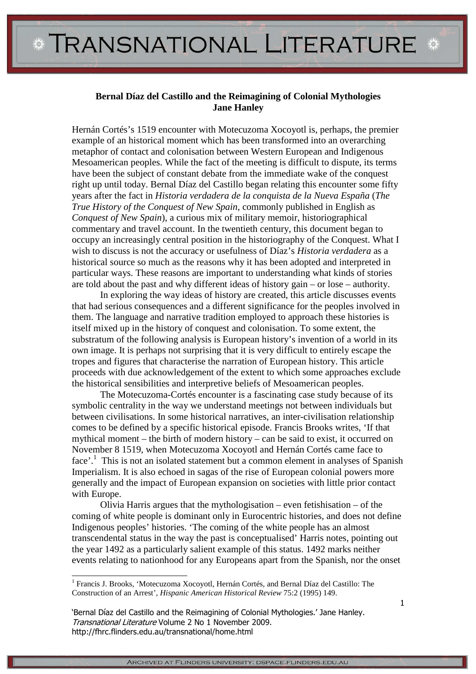## **Bernal Díaz del Castillo and the Reimagining of Colonial Mythologies Jane Hanley**

Hernán Cortés's 1519 encounter with Motecuzoma Xocoyotl is, perhaps, the premier example of an historical moment which has been transformed into an overarching metaphor of contact and colonisation between Western European and Indigenous Mesoamerican peoples. While the fact of the meeting is difficult to dispute, its terms have been the subject of constant debate from the immediate wake of the conquest right up until today. Bernal Díaz del Castillo began relating this encounter some fifty years after the fact in *Historia verdadera de la conquista de la Nueva España* (*The True History of the Conquest of New Spain*, commonly published in English as *Conquest of New Spain*), a curious mix of military memoir, historiographical commentary and travel account. In the twentieth century, this document began to occupy an increasingly central position in the historiography of the Conquest. What I wish to discuss is not the accuracy or usefulness of Díaz's *Historia verdadera* as a historical source so much as the reasons why it has been adopted and interpreted in particular ways. These reasons are important to understanding what kinds of stories are told about the past and why different ideas of history gain – or lose – authority.

In exploring the way ideas of history are created, this article discusses events that had serious consequences and a different significance for the peoples involved in them. The language and narrative tradition employed to approach these histories is itself mixed up in the history of conquest and colonisation. To some extent, the substratum of the following analysis is European history's invention of a world in its own image. It is perhaps not surprising that it is very difficult to entirely escape the tropes and figures that characterise the narration of European history. This article proceeds with due acknowledgement of the extent to which some approaches exclude the historical sensibilities and interpretive beliefs of Mesoamerican peoples.

The Motecuzoma-Cortés encounter is a fascinating case study because of its symbolic centrality in the way we understand meetings not between individuals but between civilisations. In some historical narratives, an inter-civilisation relationship comes to be defined by a specific historical episode. Francis Brooks writes, 'If that mythical moment – the birth of modern history – can be said to exist, it occurred on November 8 1519, when Motecuzoma Xocoyotl and Hernán Cortés came face to face'.<sup>1</sup> This is not an isolated statement but a common element in analyses of Spanish Imperialism. It is also echoed in sagas of the rise of European colonial powers more generally and the impact of European expansion on societies with little prior contact with Europe.

Olivia Harris argues that the mythologisation – even fetishisation – of the coming of white people is dominant only in Eurocentric histories, and does not define Indigenous peoples' histories. 'The coming of the white people has an almost transcendental status in the way the past is conceptualised' Harris notes, pointing out the year 1492 as a particularly salient example of this status. 1492 marks neither events relating to nationhood for any Europeans apart from the Spanish, nor the onset

l

<sup>&</sup>lt;sup>1</sup> Francis J. Brooks, 'Motecuzoma Xocoyotl, Hernán Cortés, and Bernal Díaz del Castillo: The Construction of an Arrest', *Hispanic American Historical Review* 75:2 (1995) 149.

<sup>&#</sup>x27;Bernal Díaz del Castillo and the Reimagining of Colonial Mythologies.' Jane Hanley. Transnational Literature Volume 2 No 1 November 2009. http://fhrc.flinders.edu.au/transnational/home.html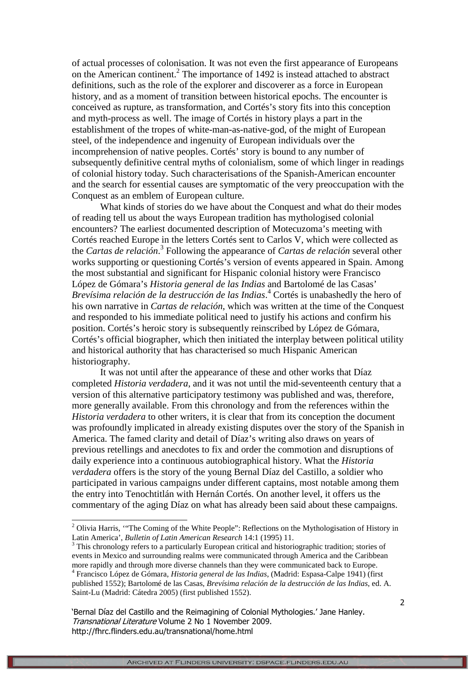of actual processes of colonisation. It was not even the first appearance of Europeans on the American continent.<sup>2</sup> The importance of 1492 is instead attached to abstract definitions, such as the role of the explorer and discoverer as a force in European history, and as a moment of transition between historical epochs. The encounter is conceived as rupture, as transformation, and Cortés's story fits into this conception and myth-process as well. The image of Cortés in history plays a part in the establishment of the tropes of white-man-as-native-god, of the might of European steel, of the independence and ingenuity of European individuals over the incomprehension of native peoples. Cortés' story is bound to any number of subsequently definitive central myths of colonialism, some of which linger in readings of colonial history today. Such characterisations of the Spanish-American encounter and the search for essential causes are symptomatic of the very preoccupation with the Conquest as an emblem of European culture.

What kinds of stories do we have about the Conquest and what do their modes of reading tell us about the ways European tradition has mythologised colonial encounters? The earliest documented description of Motecuzoma's meeting with Cortés reached Europe in the letters Cortés sent to Carlos V, which were collected as the *Cartas de relación*. 3 Following the appearance of *Cartas de relación* several other works supporting or questioning Cortés's version of events appeared in Spain. Among the most substantial and significant for Hispanic colonial history were Francisco López de Gómara's *Historia general de las Indias* and Bartolomé de las Casas' *Brevísima relación de la destrucción de las Indias*. 4 Cortés is unabashedly the hero of his own narrative in *Cartas de relación*, which was written at the time of the Conquest and responded to his immediate political need to justify his actions and confirm his position. Cortés's heroic story is subsequently reinscribed by López de Gómara, Cortés's official biographer, which then initiated the interplay between political utility and historical authority that has characterised so much Hispanic American historiography.

It was not until after the appearance of these and other works that Díaz completed *Historia verdadera*, and it was not until the mid-seventeenth century that a version of this alternative participatory testimony was published and was, therefore, more generally available. From this chronology and from the references within the *Historia verdadera* to other writers, it is clear that from its conception the document was profoundly implicated in already existing disputes over the story of the Spanish in America. The famed clarity and detail of Díaz's writing also draws on years of previous retellings and anecdotes to fix and order the commotion and disruptions of daily experience into a continuous autobiographical history. What the *Historia verdadera* offers is the story of the young Bernal Díaz del Castillo, a soldier who participated in various campaigns under different captains, most notable among them the entry into Tenochtitlán with Hernán Cortés. On another level, it offers us the commentary of the aging Díaz on what has already been said about these campaigns.

<sup>&</sup>lt;sup>2</sup> Olivia Harris, "The Coming of the White People": Reflections on the Mythologisation of History in Latin America', *Bulletin of Latin American Research* 14:1 (1995) 11.

<sup>&</sup>lt;sup>3</sup> This chronology refers to a particularly European critical and historiographic tradition; stories of events in Mexico and surrounding realms were communicated through America and the Caribbean more rapidly and through more diverse channels than they were communicated back to Europe.

<sup>4</sup> Francisco López de Gómara, *Historia general de las Indias*, (Madrid: Espasa-Calpe 1941) (first published 1552); Bartolomé de las Casas, *Brevísima relación de la destrucción de las Indias*, ed. A. Saint-Lu (Madrid: Cátedra 2005) (first published 1552).

<sup>&#</sup>x27;Bernal Díaz del Castillo and the Reimagining of Colonial Mythologies.' Jane Hanley. Transnational Literature Volume 2 No 1 November 2009. http://fhrc.flinders.edu.au/transnational/home.html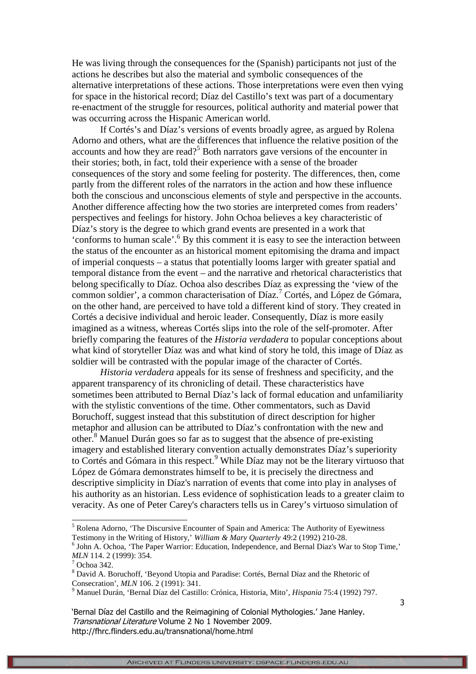He was living through the consequences for the (Spanish) participants not just of the actions he describes but also the material and symbolic consequences of the alternative interpretations of these actions. Those interpretations were even then vying for space in the historical record; Díaz del Castillo's text was part of a documentary re-enactment of the struggle for resources, political authority and material power that was occurring across the Hispanic American world.

If Cortés's and Díaz's versions of events broadly agree, as argued by Rolena Adorno and others, what are the differences that influence the relative position of the accounts and how they are read?<sup>5</sup> Both narrators gave versions of the encounter in their stories; both, in fact, told their experience with a sense of the broader consequences of the story and some feeling for posterity. The differences, then, come partly from the different roles of the narrators in the action and how these influence both the conscious and unconscious elements of style and perspective in the accounts. Another difference affecting how the two stories are interpreted comes from readers' perspectives and feelings for history. John Ochoa believes a key characteristic of Díaz's story is the degree to which grand events are presented in a work that 'conforms to human scale'.<sup>6</sup> By this comment it is easy to see the interaction between the status of the encounter as an historical moment epitomising the drama and impact of imperial conquests – a status that potentially looms larger with greater spatial and temporal distance from the event – and the narrative and rhetorical characteristics that belong specifically to Díaz. Ochoa also describes Díaz as expressing the 'view of the common soldier', a common characterisation of Díaz.<sup>7</sup> Cortés, and López de Gómara, on the other hand, are perceived to have told a different kind of story. They created in Cortés a decisive individual and heroic leader. Consequently, Díaz is more easily imagined as a witness, whereas Cortés slips into the role of the self-promoter. After briefly comparing the features of the *Historia verdadera* to popular conceptions about what kind of storyteller Díaz was and what kind of story he told, this image of Díaz as soldier will be contrasted with the popular image of the character of Cortés.

*Historia verdadera* appeals for its sense of freshness and specificity, and the apparent transparency of its chronicling of detail. These characteristics have sometimes been attributed to Bernal Díaz's lack of formal education and unfamiliarity with the stylistic conventions of the time. Other commentators, such as David Boruchoff, suggest instead that this substitution of direct description for higher metaphor and allusion can be attributed to Díaz's confrontation with the new and other.<sup>8</sup> Manuel Durán goes so far as to suggest that the absence of pre-existing imagery and established literary convention actually demonstrates Díaz's superiority to Cortés and Gómara in this respect.<sup>9</sup> While Díaz may not be the literary virtuoso that López de Gómara demonstrates himself to be, it is precisely the directness and descriptive simplicity in Díaz's narration of events that come into play in analyses of his authority as an historian. Less evidence of sophistication leads to a greater claim to veracity. As one of Peter Carey's characters tells us in Carey's virtuoso simulation of

<sup>&</sup>lt;sup>5</sup> Rolena Adorno, 'The Discursive Encounter of Spain and America: The Authority of Eyewitness Testimony in the Writing of History,' *William & Mary Quarterly* 49:2 (1992) 210-28.

<sup>&</sup>lt;sup>6</sup> John A. Ochoa, 'The Paper Warrior: Education, Independence, and Bernal Diaz's War to Stop Time,' *MLN* 114. 2 (1999): 354.

 $7$  Ochoa 342.

<sup>&</sup>lt;sup>8</sup> David A. Boruchoff, 'Beyond Utopia and Paradise: Cortés, Bernal Díaz and the Rhetoric of Consecration', *MLN* 106. 2 (1991): 341.

<sup>9</sup> Manuel Durán, 'Bernal Díaz del Castillo: Crónica, Historia, Mito', *Hispania* 75:4 (1992) 797.

<sup>&#</sup>x27;Bernal Díaz del Castillo and the Reimagining of Colonial Mythologies.' Jane Hanley. Transnational Literature Volume 2 No 1 November 2009. http://fhrc.flinders.edu.au/transnational/home.html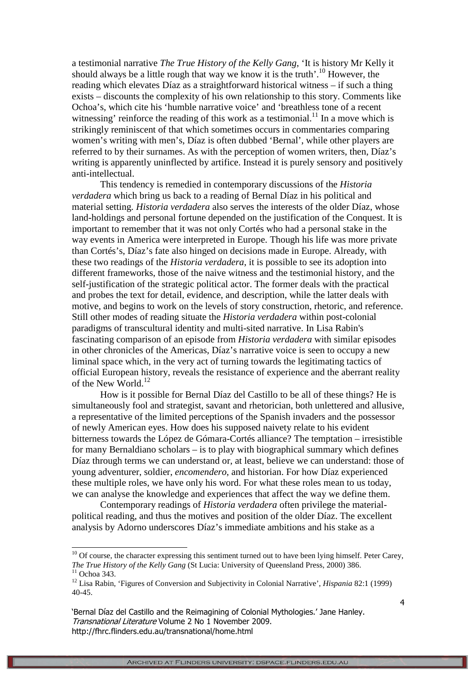a testimonial narrative *The True History of the Kelly Gang*, 'It is history Mr Kelly it should always be a little rough that way we know it is the truth'.<sup>10</sup> However, the reading which elevates Díaz as a straightforward historical witness – if such a thing exists – discounts the complexity of his own relationship to this story. Comments like Ochoa's, which cite his 'humble narrative voice' and 'breathless tone of a recent witnessing' reinforce the reading of this work as a testimonial.<sup>11</sup> In a move which is strikingly reminiscent of that which sometimes occurs in commentaries comparing women's writing with men's, Díaz is often dubbed 'Bernal', while other players are referred to by their surnames. As with the perception of women writers, then, Díaz's writing is apparently uninflected by artifice. Instead it is purely sensory and positively anti-intellectual.

This tendency is remedied in contemporary discussions of the *Historia verdadera* which bring us back to a reading of Bernal Díaz in his political and material setting. *Historia verdadera* also serves the interests of the older Díaz, whose land-holdings and personal fortune depended on the justification of the Conquest. It is important to remember that it was not only Cortés who had a personal stake in the way events in America were interpreted in Europe. Though his life was more private than Cortés's, Díaz's fate also hinged on decisions made in Europe. Already, with these two readings of the *Historia verdadera*, it is possible to see its adoption into different frameworks, those of the naive witness and the testimonial history, and the self-justification of the strategic political actor. The former deals with the practical and probes the text for detail, evidence, and description, while the latter deals with motive, and begins to work on the levels of story construction, rhetoric, and reference. Still other modes of reading situate the *Historia verdadera* within post-colonial paradigms of transcultural identity and multi-sited narrative. In Lisa Rabin's fascinating comparison of an episode from *Historia verdadera* with similar episodes in other chronicles of the Americas, Díaz's narrative voice is seen to occupy a new liminal space which, in the very act of turning towards the legitimating tactics of official European history, reveals the resistance of experience and the aberrant reality of the New World. $^{12}$ 

How is it possible for Bernal Díaz del Castillo to be all of these things? He is simultaneously fool and strategist, savant and rhetorician, both unlettered and allusive, a representative of the limited perceptions of the Spanish invaders and the possessor of newly American eyes. How does his supposed naivety relate to his evident bitterness towards the López de Gómara-Cortés alliance? The temptation – irresistible for many Bernaldiano scholars – is to play with biographical summary which defines Díaz through terms we can understand or, at least, believe we can understand: those of young adventurer, soldier, *encomendero*, and historian. For how Díaz experienced these multiple roles, we have only his word. For what these roles mean to us today, we can analyse the knowledge and experiences that affect the way we define them.

Contemporary readings of *Historia verdadera* often privilege the materialpolitical reading, and thus the motives and position of the older Díaz. The excellent analysis by Adorno underscores Díaz's immediate ambitions and his stake as a

 $10$  Of course, the character expressing this sentiment turned out to have been lying himself. Peter Carey, *The True History of the Kelly Gang* (St Lucia: University of Queensland Press, 2000) 386.  $11$  Ochoa 343.

<sup>12</sup> Lisa Rabin, 'Figures of Conversion and Subjectivity in Colonial Narrative', *Hispania* 82:1 (1999) 40-45.

<sup>&#</sup>x27;Bernal Díaz del Castillo and the Reimagining of Colonial Mythologies.' Jane Hanley. Transnational Literature Volume 2 No 1 November 2009. http://fhrc.flinders.edu.au/transnational/home.html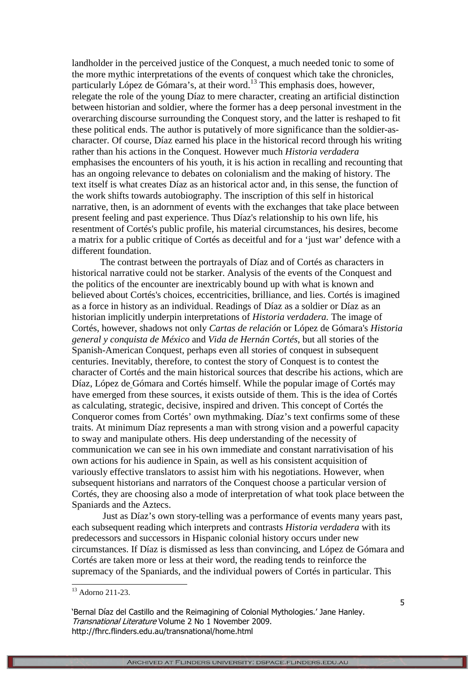landholder in the perceived justice of the Conquest, a much needed tonic to some of the more mythic interpretations of the events of conquest which take the chronicles, particularly López de Gómara's, at their word.<sup>13</sup> This emphasis does, however, relegate the role of the young Díaz to mere character, creating an artificial distinction between historian and soldier, where the former has a deep personal investment in the overarching discourse surrounding the Conquest story, and the latter is reshaped to fit these political ends. The author is putatively of more significance than the soldier-ascharacter. Of course, Díaz earned his place in the historical record through his writing rather than his actions in the Conquest. However much *Historia verdadera* emphasises the encounters of his youth, it is his action in recalling and recounting that has an ongoing relevance to debates on colonialism and the making of history. The text itself is what creates Díaz as an historical actor and, in this sense, the function of the work shifts towards autobiography. The inscription of this self in historical narrative, then, is an adornment of events with the exchanges that take place between present feeling and past experience. Thus Díaz's relationship to his own life, his resentment of Cortés's public profile, his material circumstances, his desires, become a matrix for a public critique of Cortés as deceitful and for a 'just war' defence with a different foundation.

The contrast between the portrayals of Díaz and of Cortés as characters in historical narrative could not be starker. Analysis of the events of the Conquest and the politics of the encounter are inextricably bound up with what is known and believed about Cortés's choices, eccentricities, brilliance, and lies. Cortés is imagined as a force in history as an individual. Readings of Díaz as a soldier or Díaz as an historian implicitly underpin interpretations of *Historia verdadera.* The image of Cortés, however, shadows not only *Cartas de relación* or López de Gómara's *Historia general y conquista de México* and *Vida de Hernán Cortés*, but all stories of the Spanish-American Conquest, perhaps even all stories of conquest in subsequent centuries. Inevitably, therefore, to contest the story of Conquest is to contest the character of Cortés and the main historical sources that describe his actions, which are Díaz, López de Gómara and Cortés himself. While the popular image of Cortés may have emerged from these sources, it exists outside of them. This is the idea of Cortés as calculating, strategic, decisive, inspired and driven. This concept of Cortés the Conqueror comes from Cortés' own mythmaking. Díaz's text confirms some of these traits. At minimum Díaz represents a man with strong vision and a powerful capacity to sway and manipulate others. His deep understanding of the necessity of communication we can see in his own immediate and constant narrativisation of his own actions for his audience in Spain, as well as his consistent acquisition of variously effective translators to assist him with his negotiations. However, when subsequent historians and narrators of the Conquest choose a particular version of Cortés, they are choosing also a mode of interpretation of what took place between the Spaniards and the Aztecs.

 Just as Díaz's own story-telling was a performance of events many years past, each subsequent reading which interprets and contrasts *Historia verdadera* with its predecessors and successors in Hispanic colonial history occurs under new circumstances. If Díaz is dismissed as less than convincing, and López de Gómara and Cortés are taken more or less at their word, the reading tends to reinforce the supremacy of the Spaniards, and the individual powers of Cortés in particular. This

<sup>&</sup>lt;sup>13</sup> Adorno 211-23.

<sup>&#</sup>x27;Bernal Díaz del Castillo and the Reimagining of Colonial Mythologies.' Jane Hanley. Transnational Literature Volume 2 No 1 November 2009. http://fhrc.flinders.edu.au/transnational/home.html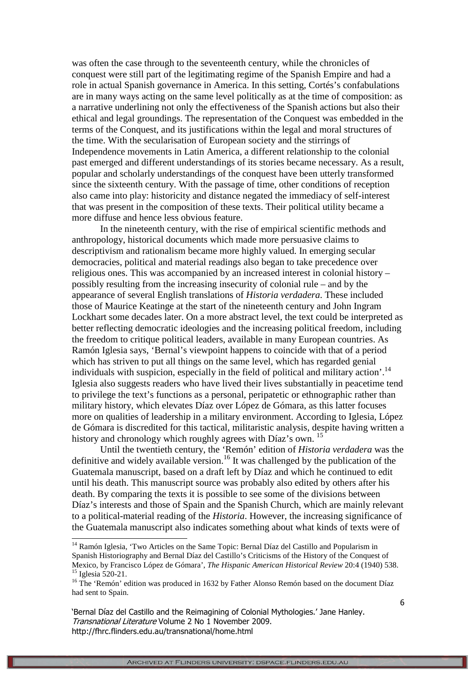was often the case through to the seventeenth century, while the chronicles of conquest were still part of the legitimating regime of the Spanish Empire and had a role in actual Spanish governance in America. In this setting, Cortés's confabulations are in many ways acting on the same level politically as at the time of composition: as a narrative underlining not only the effectiveness of the Spanish actions but also their ethical and legal groundings. The representation of the Conquest was embedded in the terms of the Conquest, and its justifications within the legal and moral structures of the time. With the secularisation of European society and the stirrings of Independence movements in Latin America, a different relationship to the colonial past emerged and different understandings of its stories became necessary. As a result, popular and scholarly understandings of the conquest have been utterly transformed since the sixteenth century. With the passage of time, other conditions of reception also came into play: historicity and distance negated the immediacy of self-interest that was present in the composition of these texts. Their political utility became a more diffuse and hence less obvious feature.

In the nineteenth century, with the rise of empirical scientific methods and anthropology, historical documents which made more persuasive claims to descriptivism and rationalism became more highly valued. In emerging secular democracies, political and material readings also began to take precedence over religious ones. This was accompanied by an increased interest in colonial history – possibly resulting from the increasing insecurity of colonial rule – and by the appearance of several English translations of *Historia verdadera*. These included those of Maurice Keatinge at the start of the nineteenth century and John Ingram Lockhart some decades later. On a more abstract level, the text could be interpreted as better reflecting democratic ideologies and the increasing political freedom, including the freedom to critique political leaders, available in many European countries. As Ramón Iglesia says, 'Bernal's viewpoint happens to coincide with that of a period which has striven to put all things on the same level, which has regarded genial individuals with suspicion, especially in the field of political and military action'.<sup>14</sup> Iglesia also suggests readers who have lived their lives substantially in peacetime tend to privilege the text's functions as a personal, peripatetic or ethnographic rather than military history, which elevates Díaz over López de Gómara, as this latter focuses more on qualities of leadership in a military environment. According to Iglesia, López de Gómara is discredited for this tactical, militaristic analysis, despite having written a history and chronology which roughly agrees with Díaz's own. <sup>15</sup>

Until the twentieth century, the 'Remón' edition of *Historia verdadera* was the definitive and widely available version.<sup>16</sup> It was challenged by the publication of the Guatemala manuscript, based on a draft left by Díaz and which he continued to edit until his death. This manuscript source was probably also edited by others after his death. By comparing the texts it is possible to see some of the divisions between Díaz's interests and those of Spain and the Spanish Church, which are mainly relevant to a political-material reading of the *Historia*. However, the increasing significance of the Guatemala manuscript also indicates something about what kinds of texts were of

l

<sup>&</sup>lt;sup>14</sup> Ramón Iglesia, 'Two Articles on the Same Topic: Bernal Díaz del Castillo and Popularism in Spanish Historiography and Bernal Díaz del Castillo's Criticisms of the History of the Conquest of Mexico, by Francisco López de Gómara', *The Hispanic American Historical Review* 20:4 (1940) 538. <sup>15</sup> Iglesia 520-21.

<sup>&</sup>lt;sup>16</sup> The 'Remón' edition was produced in 1632 by Father Alonso Remón based on the document Díaz had sent to Spain.

<sup>&#</sup>x27;Bernal Díaz del Castillo and the Reimagining of Colonial Mythologies.' Jane Hanley. Transnational Literature Volume 2 No 1 November 2009. http://fhrc.flinders.edu.au/transnational/home.html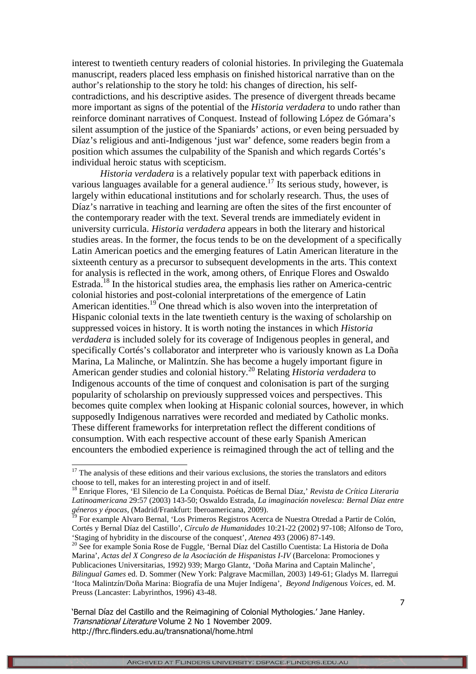interest to twentieth century readers of colonial histories. In privileging the Guatemala manuscript, readers placed less emphasis on finished historical narrative than on the author's relationship to the story he told: his changes of direction, his selfcontradictions, and his descriptive asides. The presence of divergent threads became more important as signs of the potential of the *Historia verdadera* to undo rather than reinforce dominant narratives of Conquest. Instead of following López de Gómara's silent assumption of the justice of the Spaniards' actions, or even being persuaded by Díaz's religious and anti-Indigenous 'just war' defence, some readers begin from a position which assumes the culpability of the Spanish and which regards Cortés's individual heroic status with scepticism.

*Historia verdadera* is a relatively popular text with paperback editions in various languages available for a general audience.<sup>17</sup> Its serious study, however, is largely within educational institutions and for scholarly research. Thus, the uses of Díaz's narrative in teaching and learning are often the sites of the first encounter of the contemporary reader with the text. Several trends are immediately evident in university curricula. *Historia verdadera* appears in both the literary and historical studies areas. In the former, the focus tends to be on the development of a specifically Latin American poetics and the emerging features of Latin American literature in the sixteenth century as a precursor to subsequent developments in the arts. This context for analysis is reflected in the work, among others, of Enrique Flores and Oswaldo Estrada.<sup>18</sup> In the historical studies area, the emphasis lies rather on America-centric colonial histories and post-colonial interpretations of the emergence of Latin American identities.<sup>19</sup> One thread which is also woven into the interpretation of Hispanic colonial texts in the late twentieth century is the waxing of scholarship on suppressed voices in history. It is worth noting the instances in which *Historia verdadera* is included solely for its coverage of Indigenous peoples in general, and specifically Cortés's collaborator and interpreter who is variously known as La Doña Marina, La Malinche, or Malintzín. She has become a hugely important figure in American gender studies and colonial history.<sup>20</sup> Relating *Historia verdadera* to Indigenous accounts of the time of conquest and colonisation is part of the surging popularity of scholarship on previously suppressed voices and perspectives. This becomes quite complex when looking at Hispanic colonial sources, however, in which supposedly Indigenous narratives were recorded and mediated by Catholic monks. These different frameworks for interpretation reflect the different conditions of consumption. With each respective account of these early Spanish American encounters the embodied experience is reimagined through the act of telling and the

-

'Bernal Díaz del Castillo and the Reimagining of Colonial Mythologies.' Jane Hanley. Transnational Literature Volume 2 No 1 November 2009. http://fhrc.flinders.edu.au/transnational/home.html

 $17$  The analysis of these editions and their various exclusions, the stories the translators and editors choose to tell, makes for an interesting project in and of itself.

<sup>18</sup> Enrique Flores, 'El Silencio de La Conquista. Poéticas de Bernal Díaz,' *Revista de Crítica Literaria Latinoamericana* 29:57 (2003) 143-50; Oswaldo Estrada, *La imaginación novelesca: Bernal Díaz entre géneros y épocas*, (Madrid/Frankfurt: Iberoamericana, 2009).

<sup>&</sup>lt;sup>19</sup> For example Alvaro Bernal, 'Los Primeros Registros Acerca de Nuestra Otredad a Partir de Colón, Cortés y Bernal Díaz del Castillo', *Círculo de Humanidades* 10:21-22 (2002) 97-108; Alfonso de Toro, 'Staging of hybridity in the discourse of the conquest', *Atenea* 493 (2006) 87-149.

<sup>&</sup>lt;sup>20</sup> See for example Sonia Rose de Fuggle, 'Bernal Díaz del Castillo Cuentista: La Historia de Doña Marina', *Actas del X Congreso de la Asociación de Hispanistas I-IV* (Barcelona: Promociones y Publicaciones Universitarias, 1992) 939; Margo Glantz, 'Doña Marina and Captain Malinche', *Bilingual Games* ed. D. Sommer (New York: Palgrave Macmillan, 2003) 149-61; Gladys M. Ilarregui 'Itoca Malintzín/Doña Marina: Biografía de una Mujer Indígena', *Beyond Indigenous Voices,* ed. M. Preuss (Lancaster: Labyrinthos, 1996) 43-48.